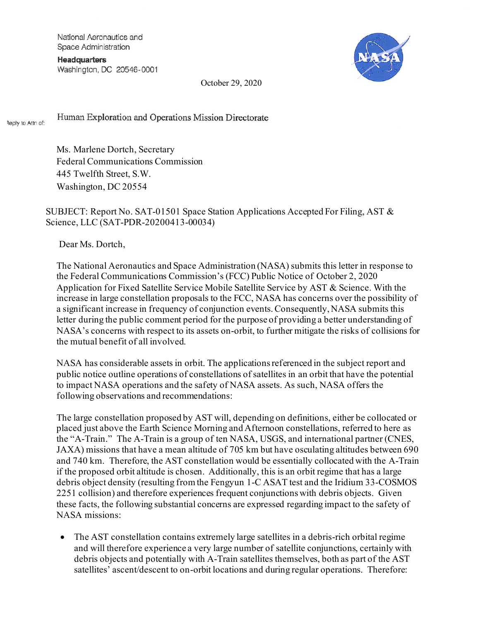National Aeronautics and Space Administration

**Headquarters** Washington, DC 20546-0001



October 29, 2020

Human Exploration and Operations Mission Directorate Reply to Attn of:

> Ms. Marlene Dortch, Secretary Federal Communications Commission 445 Twelfth Street, S.W. Washington, DC 20554

SUBJECT: Report No. SAT-01501 Space Station Applications Accepted For Filing, AST & Science, LLC (SAT-PDR-20200413-00034)

Dear Ms. Dortch,

The National Aeronautics and Space Administration (NASA) submits this letter in response to the Federal Communications Commission's (FCC) Public Notice of October 2, 2020 Application for Fixed Satellite Service Mobile Satellite Service by AST & Science. With the increase in large constellation proposals to the FCC, NASA has concerns over the possibility of a significant increase in frequency of conjunction events. Consequently, NASA submits this letter during the public comment period for the purpose of providing a better understanding of NASA's concerns with respect to its assets on-orbit, to further mitigate the risks of collisions for the mutual benefit of all involved.

NASA has considerable assets in orbit. The applications referenced in the subject report and public notice outline operations of constellations of satellites in an orbit that have the potential to impact NASA operations and the safety of NASA assets. As such, NASA offers the following observations and recommendations:

The large constellation proposed by AST will, depending on definitions, either be collocated or placed just above the Earth Science Morning and Afternoon constellations, referred to here as the "A-Train." The A-Train is a group of ten NASA, USGS, and international partner (CNES, JAXA) missions that have a mean altitude of 705 km but have osculating altitudes between 690 and 740 km. Therefore, the AST constellation would be essentially collocated with the A-Train if the proposed orbit altitude is chosen. Additionally, this is an orbit regime that has a large debris object density (resulting from the Fengyun 1-C ASAT test and the Iridium 33-COSMOS 2251 collision) and therefore experiences frequent conjunctions with debris objects. Given these facts, the following substantial concerns are expressed regarding impact to the safety of NASA missions:

• The AST constellation contains extremely large satellites in a debris-rich orbital regime and will therefore experience a very large number of satellite conjunctions, certainly with debris objects and potentially with A-Train satellites themselves, both as part of the AST satellites' ascent/descent to on-orbit locations and during regular operations. Therefore: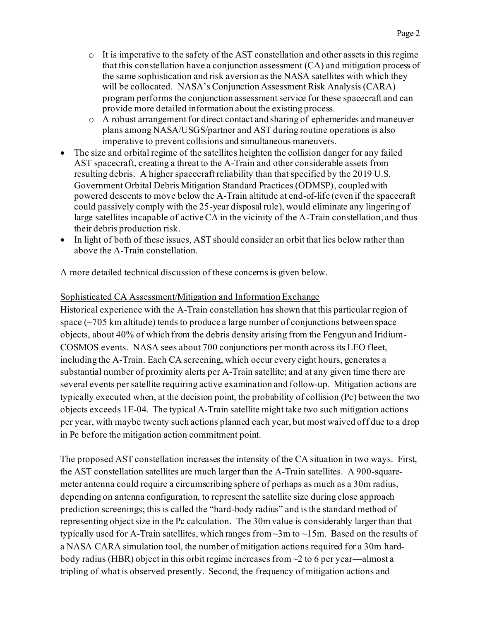- $\circ$  It is imperative to the safety of the AST constellation and other assets in this regime that this constellation have a conjunction assessment (CA) and mitigation process of the same sophistication and risk aversion as the NASA satellites with which they will be collocated. NASA's Conjunction Assessment Risk Analysis (CARA) program performs the conjunction assessment service for these spacecraft and can provide more detailed information about the existing process.
- o A robust arrangement for direct contact and sharing of ephemerides and maneuver plans among NASA/USGS/partner and AST during routine operations is also imperative to prevent collisions and simultaneous maneuvers.
- The size and orbital regime of the satellites heighten the collision danger for any failed AST spacecraft, creating a threat to the A-Train and other considerable assets from resulting debris. A higher spacecraft reliability than that specified by the 2019 U.S. Government Orbital Debris Mitigation Standard Practices (ODMSP), coupled with powered descents to move below the A-Train altitude at end-of-life (even if the spacecraft could passively comply with the 25-year disposal rule), would eliminate any lingering of large satellites incapable of active CA in the vicinity of the A-Train constellation, and thus their debris production risk.
- In light of both of these issues, AST should consider an orbit that lies below rather than above the A-Train constellation.

A more detailed technical discussion of these concerns is given below.

## Sophisticated CA Assessment/Mitigation and Information Exchange

Historical experience with the A-Train constellation has shown that this particular region of space (~705 km altitude) tends to produce a large number of conjunctions between space objects, about 40% of which from the debris density arising from the Fengyun and Iridium-COSMOS events. NASA sees about 700 conjunctions per month across its LEO fleet, including the A-Train. Each CA screening, which occur every eight hours, generates a substantial number of proximity alerts per A-Train satellite; and at any given time there are several events per satellite requiring active examination and follow-up. Mitigation actions are typically executed when, at the decision point, the probability of collision (Pc) between the two objects exceeds 1E-04. The typical A-Train satellite might take two such mitigation actions per year, with maybe twenty such actions planned each year, but most waived off due to a drop in Pc before the mitigation action commitment point.

The proposed AST constellation increases the intensity of the CA situation in two ways. First, the AST constellation satellites are much larger than the A-Train satellites. A 900-squaremeter antenna could require a circumscribing sphere of perhaps as much as a 30m radius, depending on antenna configuration, to represent the satellite size during close approach prediction screenings; this is called the "hard-body radius" and is the standard method of representing object size in the Pc calculation. The 30m value is considerably larger than that typically used for A-Train satellites, which ranges from ~3m to ~15m. Based on the results of a NASA CARA simulation tool, the number of mitigation actions required for a 30m hardbody radius (HBR) object in this orbit regime increases from ~2 to 6 per year—almost a tripling of what is observed presently. Second, the frequency of mitigation actions and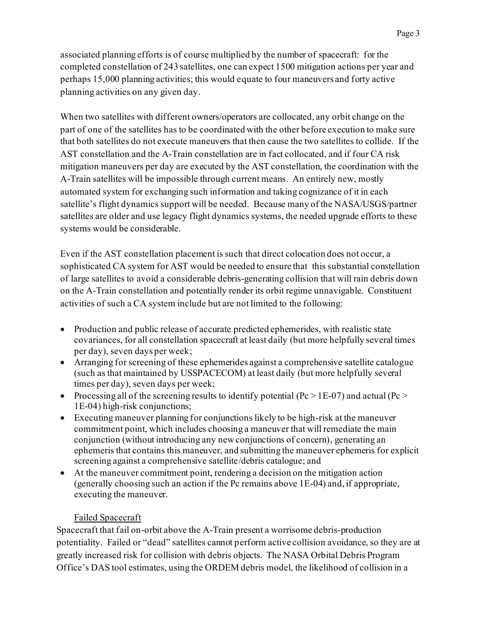associated planning efforts is of course multiplied by the number of spacecraft: for the completed constellation of 243 satellites, one can expect 1500 mitigation actions per year and perhaps 15,000 planning activities; this would equate to four maneuvers and forty active planning activities on any given day.

When two satellites with different owners/operators are collocated, any orbit change on the part of one of the satellites has to be coordinated with the other before execution to make sure that both satellites do not execute maneuvers that then cause the two satellites to collide. If the AST constellation and the A-Train constellation are in fact collocated, and if four CA risk mitigation maneuvers per day are executed by the AST constellation, the coordination with the A-Train satellites will be impossible through current means. An entirely new, mostly automated system for exchanging such information and taking cognizance of it in each satellite's flight dynamics support will be needed. Because many of the NASA/USGS/partner satellites are older and use legacy flight dynamics systems, the needed upgrade efforts to these systems would be considerable.

Even if the AST constellation placement is such that direct colocation does not occur, a sophisticated CA system for AST would be needed to ensure that this substantial constellation of large satellites to avoid a considerable debris-generating collision that will rain debris down on the A-Train constellation and potentially render its orbit regime unnavigable. Constituent activities of such a CA system include but are not limited to the following:

- Production and public release of accurate predicted ephemerides, with realistic state covariances, for all constellation spacecraft at least daily (but more helpfully several times per day), seven days per week;
- Arranging for screening of these ephemerides against a comprehensive satellite catalogue (such as that maintained by USSPACECOM) at least daily (but more helpfully several times per day), seven days per week;
- Processing all of the screening results to identify potential ( $Pc > 1E-07$ ) and actual ( $Pc > 1E-07$ ) 1E-04) high-risk conjunctions;
- Executing maneuver planning for conjunctions likely to be high-risk at the maneuver commitment point, which includes choosing a maneuver that will remediate the main conjunction (without introducing any new conjunctions of concern), generating an ephemeris that contains this maneuver, and submitting the maneuver ephemeris for explicit screening against a comprehensive satellite/debris catalogue; and
- At the maneuver commitment point, rendering a decision on the mitigation action (generally choosing such an action if the Pc remains above 1E-04) and, if appropriate, executing the maneuver.

## Failed Spacecraft

Spacecraft that fail on-orbit above the A-Train present a worrisome debris-production potentiality. Failed or "dead" satellites cannot perform active collision avoidance, so they are at greatly increased risk for collision with debris objects. The NASA Orbital Debris Program Office's DAS tool estimates, using the ORDEM debris model, the likelihood of collision in a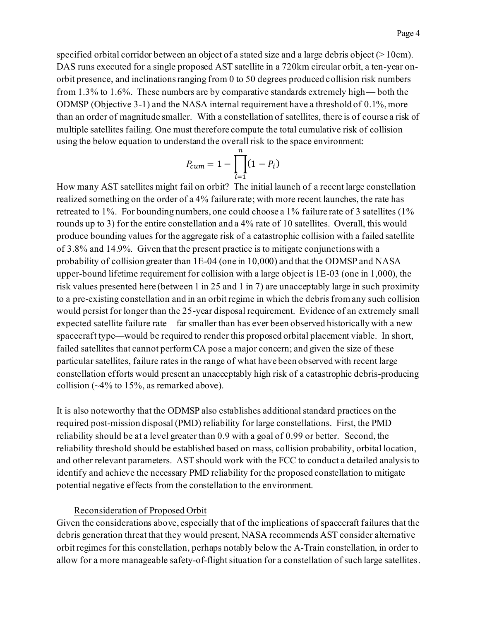specified orbital corridor between an object of a stated size and a large debris object (>10cm). DAS runs executed for a single proposed AST satellite in a 720km circular orbit, a ten-year onorbit presence, and inclinations ranging from 0 to 50 degrees produced collision risk numbers from 1.3% to 1.6%. These numbers are by comparative standards extremely high— both the ODMSP (Objective 3-1) and the NASA internal requirement have a threshold of 0.1%, more than an order of magnitude smaller. With a constellation of satellites, there is of course a risk of multiple satellites failing. One must therefore compute the total cumulative risk of collision using the below equation to understand the overall risk to the space environment:

$$
P_{cum} = 1 - \prod_{i=1}^{n} (1 - P_i)
$$

How many AST satellites might fail on orbit? The initial launch of a recent large constellation realized something on the order of a 4% failure rate; with more recent launches, the rate has retreated to 1%. For bounding numbers, one could choose a 1% failure rate of 3 satellites (1% rounds up to 3) for the entire constellation and a 4% rate of 10 satellites. Overall, this would produce bounding values for the aggregate risk of a catastrophic collision with a failed satellite of 3.8% and 14.9%. Given that the present practice is to mitigate conjunctions with a probability of collision greater than 1E-04 (one in 10,000) and that the ODMSP and NASA upper-bound lifetime requirement for collision with a large object is 1E-03 (one in 1,000), the risk values presented here (between 1 in 25 and 1 in 7) are unacceptably large in such proximity to a pre-existing constellation and in an orbit regime in which the debris from any such collision would persist for longer than the 25-year disposal requirement. Evidence of an extremely small expected satellite failure rate—far smaller than has ever been observed historically with a new spacecraft type—would be required to render this proposed orbital placement viable. In short, failed satellites that cannot perform CA pose a major concern; and given the size of these particular satellites, failure rates in the range of what have been observed with recent large constellation efforts would present an unacceptably high risk of a catastrophic debris-producing collision (~4% to 15%, as remarked above).

It is also noteworthy that the ODMSP also establishes additional standard practices on the required post-mission disposal (PMD) reliability for large constellations. First, the PMD reliability should be at a level greater than 0.9 with a goal of 0.99 or better. Second, the reliability threshold should be established based on mass, collision probability, orbital location, and other relevant parameters. AST should work with the FCC to conduct a detailed analysis to identify and achieve the necessary PMD reliability for the proposed constellation to mitigate potential negative effects from the constellation to the environment.

## Reconsideration of Proposed Orbit

Given the considerations above, especially that of the implications of spacecraft failures that the debris generation threat that they would present, NASA recommends AST consider alternative orbit regimes for this constellation, perhaps notably below the A-Train constellation, in order to allow for a more manageable safety-of-flight situation for a constellation of such large satellites.